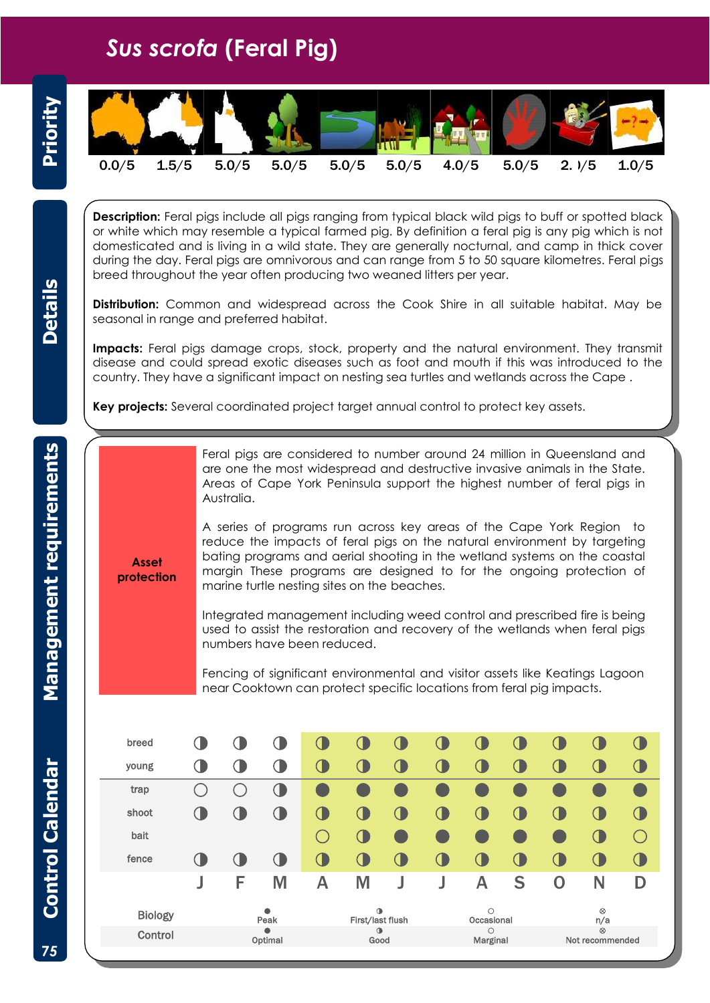## *Sus scrofa* **(Feral Pig)**



**Description:** Feral pigs include all pigs ranging from typical black wild pigs to buff or spotted black or white which may resemble a typical farmed pig. By definition a feral pig is any pig which is not domesticated and is living in a wild state. They are generally nocturnal, and camp in thick cover during the day. Feral pigs are omnivorous and can range from 5 to 50 square kilometres. Feral pigs breed throughout the year often producing two weaned litters per year.

**Distribution:** Common and widespread across the Cook Shire in all suitable habitat. May be seasonal in range and preferred habitat.

**Impacts:** Feral pigs damage crops, stock, property and the natural environment. They transmit disease and could spread exotic diseases such as foot and mouth if this was introduced to the country. They have a significant impact on nesting sea turtles and wetlands across the Cape .

**Key projects:** Several coordinated project target annual control to protect key assets.

Feral pigs are considered to number around 24 million in Queensland and are one the most widespread and destructive invasive animals in the State. Areas of Cape York Peninsula support the highest number of feral pigs in Australia.

**Asset protection**

A series of programs run across key areas of the Cape York Region to reduce the impacts of feral pigs on the natural environment by targeting bating programs and aerial shooting in the wetland systems on the coastal margin These programs are designed to for the ongoing protection of marine turtle nesting sites on the beaches.

Integrated management including weed control and prescribed fire is being used to assist the restoration and recovery of the wetlands when feral pigs numbers have been reduced.

Fencing of significant environmental and visitor assets like Keatings Lagoon near Cooktown can protect specific locations from feral pig impacts.

| breed          |                      |      |              |        |                    |    |                     |         |   |                              |           | U          |
|----------------|----------------------|------|--------------|--------|--------------------|----|---------------------|---------|---|------------------------------|-----------|------------|
| young          |                      |      |              |        | (                  | J  | O                   |         | U | O.                           | Œ         | 0          |
| trap           |                      |      | $\mathbb{Q}$ |        |                    |    |                     |         |   |                              |           |            |
| shoot          | $\bigcap$            |      |              | O.     | O.                 | U. | CI.                 |         | U | O.                           | Œ         | $\bigcirc$ |
| bait           |                      |      |              | $(\ )$ | O.                 | e. |                     |         |   |                              | CT.       | $(\ )$     |
| fence          | 0                    |      | (∥           | $\cup$ | CI.                | U  | $\mathbf 0$         |         | O | $\sqrt{2}$                   | Œ         | $\bigcirc$ |
|                | J                    | F    | M            | А      | M                  |    |                     | Α       | S | 0                            | N         | D          |
|                |                      |      | ٠            |        | $\bullet$          |    |                     | $\circ$ |   |                              | $\otimes$ |            |
| <b>Biology</b> |                      | Peak |              |        | First/last flush   |    | Occasional          |         |   | n/a                          |           |            |
| Control        | $\bullet$<br>Optimal |      |              |        | $\bigcirc$<br>Good |    | $\circ$<br>Marginal |         |   | $\otimes$<br>Not recommended |           |            |

**Details**